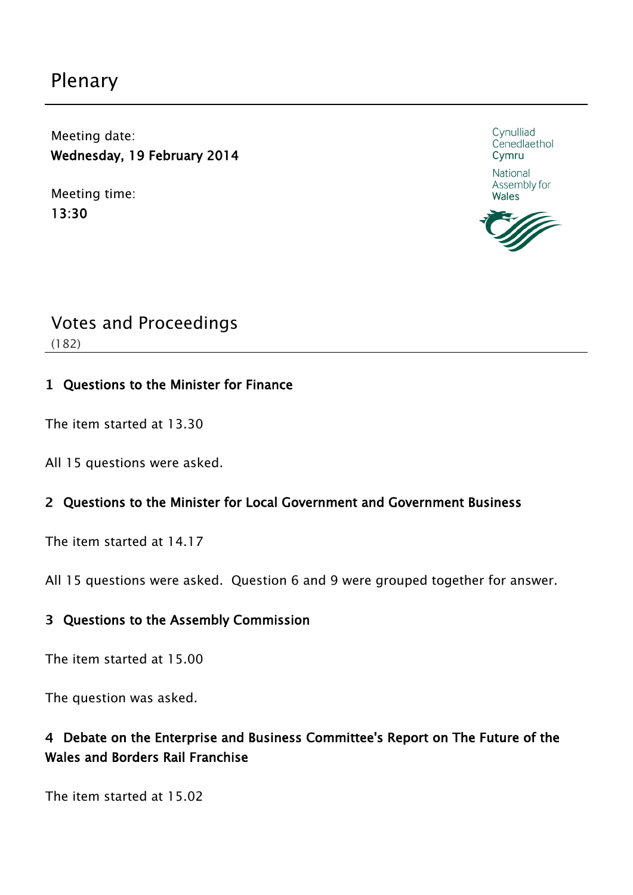# Plenary

Meeting date: Wednesday, 19 February 2014

Meeting time: 13:30



National Assembly for **Wales** 



# Votes and Proceedings

(182)

## Questions to the Minister for Finance

The item started at 13.30

All 15 questions were asked.

## Questions to the Minister for Local Government and Government Business

The item started at 14.17

All 15 questions were asked. Question 6 and 9 were grouped together for answer.

## Questions to the Assembly Commission

The item started at 15.00

The question was asked.

## Debate on the Enterprise and Business Committee's Report on The Future of the Wales and Borders Rail Franchise

The item started at 15.02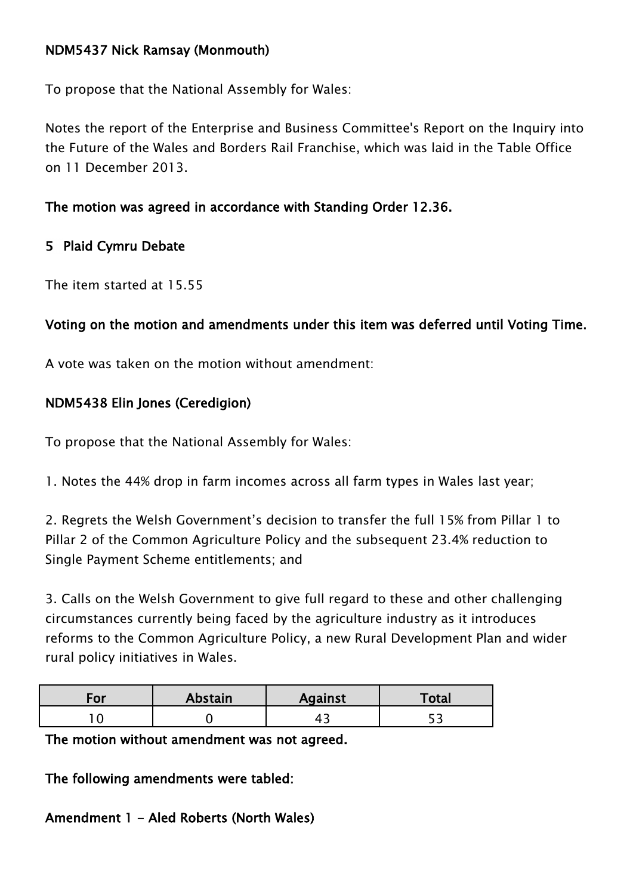## NDM5437 Nick Ramsay (Monmouth)

To propose that the National Assembly for Wales:

Notes the report of the Enterprise and Business Committee's Report on the Inquiry into the Future of the Wales and Borders Rail Franchise, which was laid in the Table Office on 11 December 2013.

## The motion was agreed in accordance with Standing Order 12.36.

## 5 Plaid Cymru Debate

The item started at 15.55

## Voting on the motion and amendments under this item was deferred until Voting Time.

A vote was taken on the motion without amendment:

## NDM5438 Elin Jones (Ceredigion)

To propose that the National Assembly for Wales:

1. Notes the 44% drop in farm incomes across all farm types in Wales last year;

2. Regrets the Welsh Government's decision to transfer the full 15% from Pillar 1 to Pillar 2 of the Common Agriculture Policy and the subsequent 23.4% reduction to Single Payment Scheme entitlements; and

3. Calls on the Welsh Government to give full regard to these and other challenging circumstances currently being faced by the agriculture industry as it introduces reforms to the Common Agriculture Policy, a new Rural Development Plan and wider rural policy initiatives in Wales.

| .OI | <b>Abstain</b> | <b>Against</b> | Total |
|-----|----------------|----------------|-------|
|     |                |                |       |

The motion without amendment was not agreed.

The following amendments were tabled:

Amendment 1 - Aled Roberts (North Wales)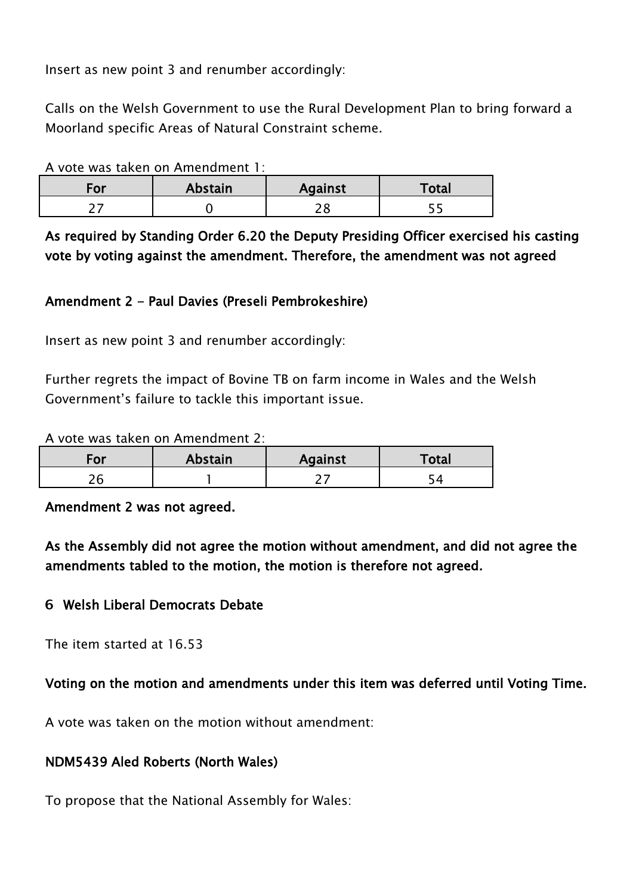Insert as new point 3 and renumber accordingly:

Calls on the Welsh Government to use the Rural Development Plan to bring forward a Moorland specific Areas of Natural Constraint scheme.

A vote was taken on Amendment 1:

| -or | Abstain | <b>Against</b> | Total |
|-----|---------|----------------|-------|
|     |         | $\mathcal{L}$  |       |

As required by Standing Order 6.20 the Deputy Presiding Officer exercised his casting vote by voting against the amendment. Therefore, the amendment was not agreed

## Amendment 2 - Paul Davies (Preseli Pembrokeshire)

Insert as new point 3 and renumber accordingly:

Further regrets the impact of Bovine TB on farm income in Wales and the Welsh Government's failure to tackle this important issue.

A vote was taken on Amendment 2:

| For | Abstain | <b>Against</b> | Total |
|-----|---------|----------------|-------|
|     |         |                |       |

Amendment 2 was not agreed.

As the Assembly did not agree the motion without amendment, and did not agree the amendments tabled to the motion, the motion is therefore not agreed.

#### Welsh Liberal Democrats Debate

The item started at 16.53

#### Voting on the motion and amendments under this item was deferred until Voting Time.

A vote was taken on the motion without amendment:

#### NDM5439 Aled Roberts (North Wales)

To propose that the National Assembly for Wales: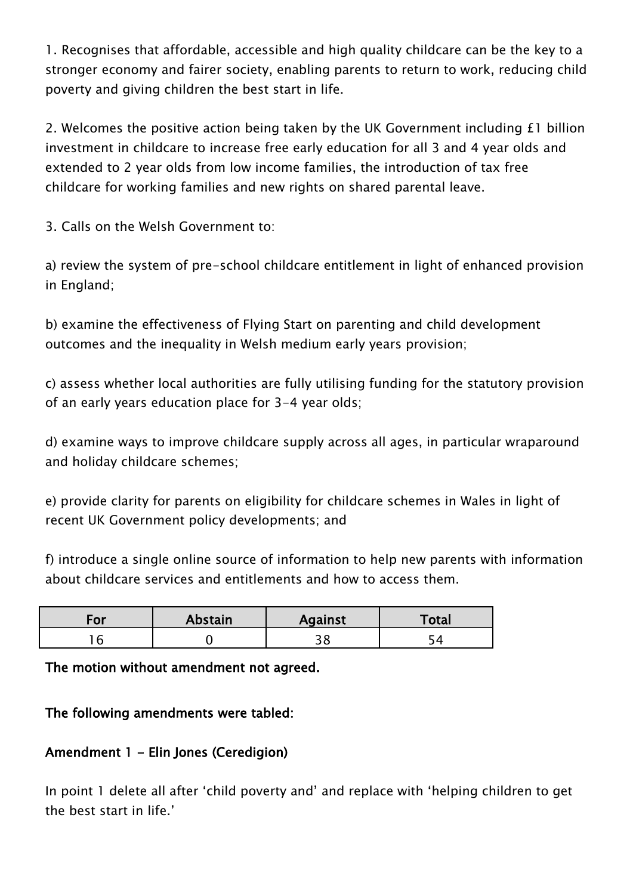1. Recognises that affordable, accessible and high quality childcare can be the key to a stronger economy and fairer society, enabling parents to return to work, reducing child poverty and giving children the best start in life.

2. Welcomes the positive action being taken by the UK Government including £1 billion investment in childcare to increase free early education for all 3 and 4 year olds and extended to 2 year olds from low income families, the introduction of tax free childcare for working families and new rights on shared parental leave.

3. Calls on the Welsh Government to:

a) review the system of pre-school childcare entitlement in light of enhanced provision in England;

b) examine the effectiveness of Flying Start on parenting and child development outcomes and the inequality in Welsh medium early years provision;

c) assess whether local authorities are fully utilising funding for the statutory provision of an early years education place for 3-4 year olds;

d) examine ways to improve childcare supply across all ages, in particular wraparound and holiday childcare schemes;

e) provide clarity for parents on eligibility for childcare schemes in Wales in light of recent UK Government policy developments; and

f) introduce a single online source of information to help new parents with information about childcare services and entitlements and how to access them.

| For | <b>Abstain</b> | <b>Against</b> | Total |
|-----|----------------|----------------|-------|
|     |                | ັ              |       |

The motion without amendment not agreed.

The following amendments were tabled:

## Amendment 1 - Elin Jones (Ceredigion)

In point 1 delete all after 'child poverty and' and replace with 'helping children to get the best start in life.'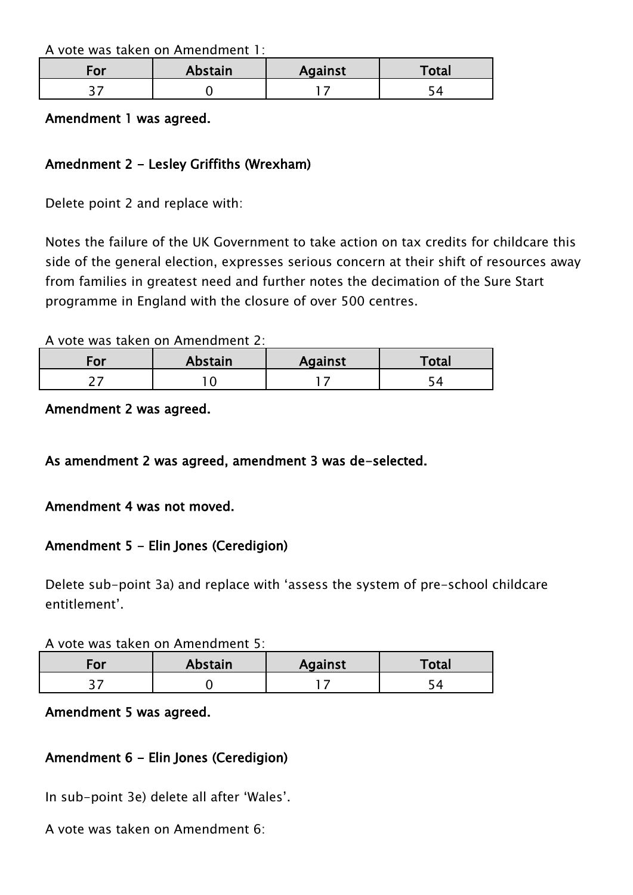A vote was taken on Amendment 1:

| For | <b>Abstain</b> | <b>Against</b> | <sup>-</sup> otal |
|-----|----------------|----------------|-------------------|
| ┙   |                |                |                   |

#### Amendment 1 was agreed.

## Amednment 2 - Lesley Griffiths (Wrexham)

Delete point 2 and replace with:

Notes the failure of the UK Government to take action on tax credits for childcare this side of the general election, expresses serious concern at their shift of resources away from families in greatest need and further notes the decimation of the Sure Start programme in England with the closure of over 500 centres.

A vote was taken on Amendment 2:

| 'or | Abstain | <b>Against</b> | Total |
|-----|---------|----------------|-------|
|     |         |                |       |

Amendment 2 was agreed.

#### As amendment 2 was agreed, amendment 3 was de-selected.

#### Amendment 4 was not moved.

## Amendment 5 - Elin Jones (Ceredigion)

Delete sub-point 3a) and replace with 'assess the system of pre-school childcare entitlement'.

#### A vote was taken on Amendment 5:

| <sup>-</sup> ∪⊦ | <b>Abstain</b> | <b>Against</b> | Total |
|-----------------|----------------|----------------|-------|
| ັ               |                |                |       |

#### Amendment 5 was agreed.

## Amendment 6 - Elin Jones (Ceredigion)

In sub-point 3e) delete all after 'Wales'.

A vote was taken on Amendment 6: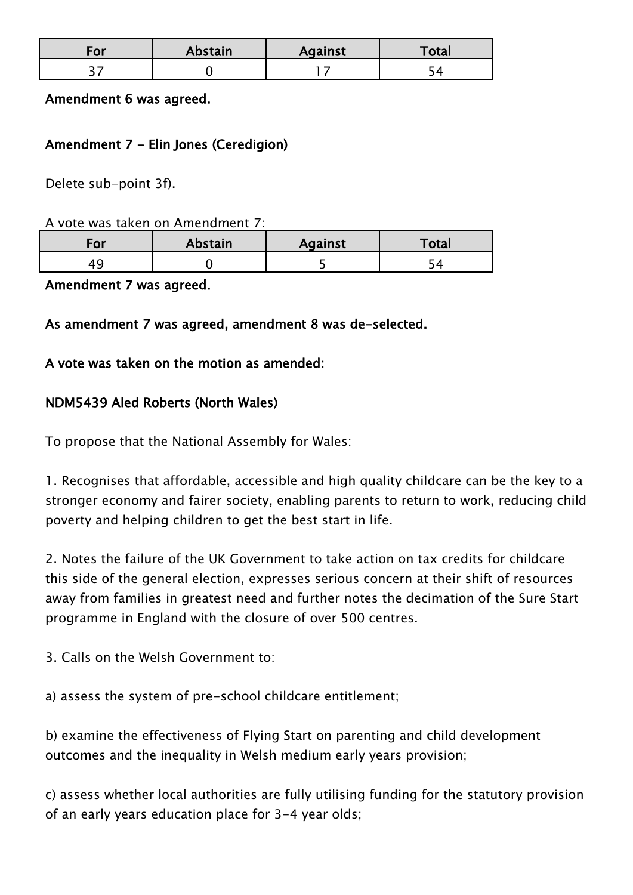| For | <b>Abstain</b> | <b>Against</b> | Total |
|-----|----------------|----------------|-------|
| -   |                |                |       |

#### Amendment 6 was agreed.

#### Amendment 7 - Elin Jones (Ceredigion)

Delete sub-point 3f).

#### A vote was taken on Amendment 7:

| -01 | Abstain | <b>Against</b> | Total |
|-----|---------|----------------|-------|
| 4   |         |                |       |

#### Amendment 7 was agreed.

#### As amendment 7 was agreed, amendment 8 was de-selected.

#### A vote was taken on the motion as amended:

## NDM5439 Aled Roberts (North Wales)

To propose that the National Assembly for Wales:

1. Recognises that affordable, accessible and high quality childcare can be the key to a stronger economy and fairer society, enabling parents to return to work, reducing child poverty and helping children to get the best start in life.

2. Notes the failure of the UK Government to take action on tax credits for childcare this side of the general election, expresses serious concern at their shift of resources away from families in greatest need and further notes the decimation of the Sure Start programme in England with the closure of over 500 centres.

3. Calls on the Welsh Government to:

a) assess the system of pre-school childcare entitlement;

b) examine the effectiveness of Flying Start on parenting and child development outcomes and the inequality in Welsh medium early years provision;

c) assess whether local authorities are fully utilising funding for the statutory provision of an early years education place for 3-4 year olds;